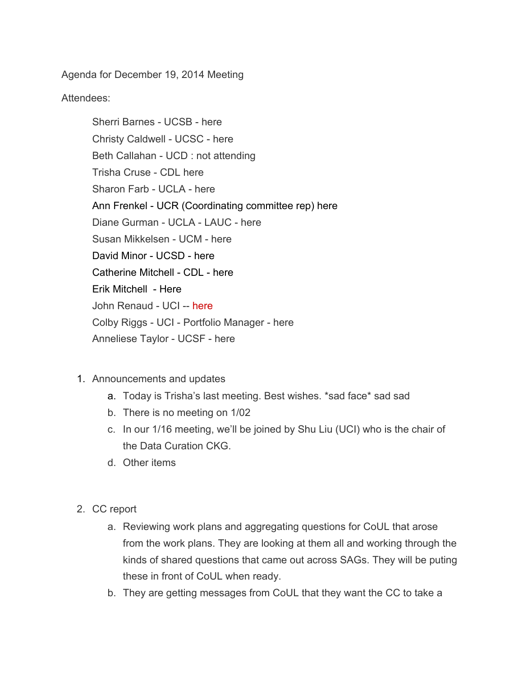Agenda for December 19, 2014 Meeting

Attendees:

Sherri Barnes - UCSB - here Christy Caldwell - UCSC - here Beth Callahan - UCD : not attending Trisha Cruse CDL here Sharon Farb - UCLA - here Ann Frenkel - UCR (Coordinating committee rep) here Diane Gurman - UCLA - LAUC - here Susan Mikkelsen - UCM - here David Minor - UCSD - here Catherine Mitchell - CDL - here Erik Mitchell - Here John Renaud - UCI -- here Colby Riggs - UCI - Portfolio Manager - here Anneliese Taylor - UCSF - here

- 1. Announcements and updates
	- a. Today is Trisha's last meeting. Best wishes. \*sad face\* sad sad
	- b. There is no meeting on 1/02
	- c. In our 1/16 meeting, we'll be joined by Shu Liu (UCI) who is the chair of the Data Curation CKG.
	- d. Other items
- 2. CC report
	- a. Reviewing work plans and aggregating questions for CoUL that arose from the work plans. They are looking at them all and working through the kinds of shared questions that came out across SAGs. They will be puting these in front of CoUL when ready.
	- b. They are getting messages from CoUL that they want the CC to take a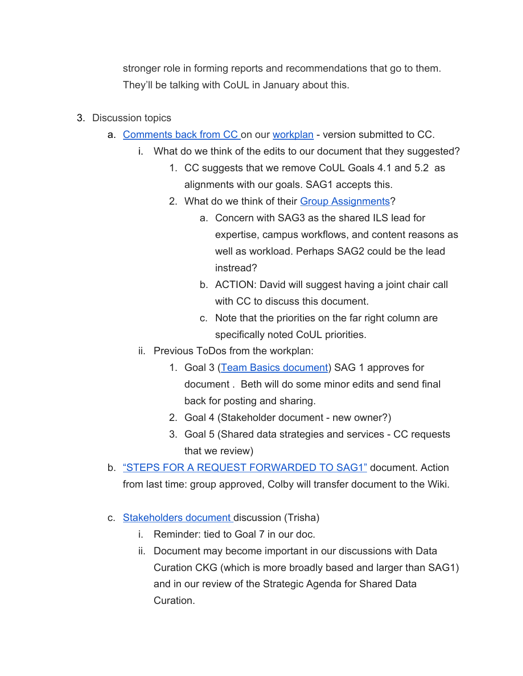stronger role in forming reports and recommendations that go to them. They'll be talking with CoUL in January about this.

- 3. Discussion topics
	- a. [Comments](https://docs.google.com/document/d/1TJViHL2RyFIhh7dK1T2kFq6IaWZW40PTh45JgU4nsiE/edit?usp=sharing) back from CC on our [workplan](https://www.google.com/url?q=https%3A%2F%2Fwiki.library.ucsf.edu%2Fpages%2Fviewpage.action%3Ftitle%3DTable%2B2%2B-%2BPortfolio%2B-%2B%2BAssess%2Band%2BMonitor%26spaceKey%3DUCLSAG1&sa=D&sntz=1&usg=AFQjCNFydMff28QeGuiaDp3kRlVeNslonQ) version submitted to CC.
		- i. What do we think of the edits to our document that they suggested?
			- 1. CC suggests that we remove CoUL Goals 4.1 and 5.2 as alignments with our goals. SAG1 accepts this.
			- 2. What do we think of their Group [Assignments?](https://docs.google.com/document/d/1nJ_iA_B10zbhDtnnKYqX_QA6nfwsJRupmwWSaFsSMrw/edit?usp=sharing)
				- a. Concern with SAG3 as the shared ILS lead for expertise, campus workflows, and content reasons as well as workload. Perhaps SAG2 could be the lead instread?
				- b. ACTION: David will suggest having a joint chair call with CC to discuss this document.
				- c. Note that the priorities on the far right column are specifically noted CoUL priorities.
		- ii. Previous ToDos from the workplan:
			- 1. Goal 3 (Team Basics [document\)](https://docs.google.com/document/d/1S_jyZ6SdbnLPKMV1Ql2JB5xqJM9rMZ9-sDrxzNAcdLY/edit?usp=sharing) SAG 1 approves for document . Beth will do some minor edits and send final back for posting and sharing.
			- 2. Goal 4 (Stakeholder document new owner?)
			- 3. Goal 5 (Shared data strategies and services CC requests that we review)
	- b. "STEPS FOR A REQUEST [FORWARDED](https://drive.google.com/open?id=0B5XxJ1waNsc8QTNtU0RBd1R4NlU&authuser=0) TO SAG1" document. Action from last time: group approved, Colby will transfer document to the Wiki.
	- c. [Stakeholders](https://drive.google.com/open?id=1oom5UIoiqHl7E3FKAEWLZcXDGJ2e0EzrBJIjIPU2Ocg&authuser=0) document discussion (Trisha)
		- i. Reminder: tied to Goal 7 in our doc.
		- ii. Document may become important in our discussions with Data Curation CKG (which is more broadly based and larger than SAG1) and in our review of the Strategic Agenda for Shared Data Curation.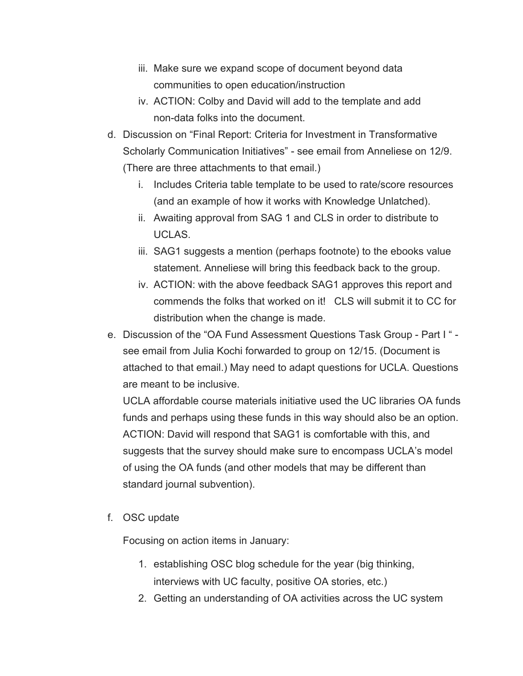- iii. Make sure we expand scope of document beyond data communities to open education/instruction
- iv. ACTION: Colby and David will add to the template and add non-data folks into the document.
- d. Discussion on "Final Report: Criteria for Investment in Transformative Scholarly Communication Initiatives" - see email from Anneliese on 12/9. (There are three attachments to that email.)
	- i. Includes Criteria table template to be used to rate/score resources (and an example of how it works with Knowledge Unlatched).
	- ii. Awaiting approval from SAG 1 and CLS in order to distribute to UCLAS.
	- iii. SAG1 suggests a mention (perhaps footnote) to the ebooks value statement. Anneliese will bring this feedback back to the group.
	- iv. ACTION: with the above feedback SAG1 approves this report and commends the folks that worked on it! CLS will submit it to CC for distribution when the change is made.
- e. Discussion of the "OA Fund Assessment Questions Task Group Part I" see email from Julia Kochi forwarded to group on 12/15. (Document is attached to that email.) May need to adapt questions for UCLA. Questions are meant to be inclusive.

UCLA affordable course materials initiative used the UC libraries OA funds funds and perhaps using these funds in this way should also be an option. ACTION: David will respond that SAG1 is comfortable with this, and suggests that the survey should make sure to encompass UCLA's model of using the OA funds (and other models that may be different than standard journal subvention).

f. OSC update

Focusing on action items in January:

- 1. establishing OSC blog schedule for the year (big thinking, interviews with UC faculty, positive OA stories, etc.)
- 2. Getting an understanding of OA activities across the UC system